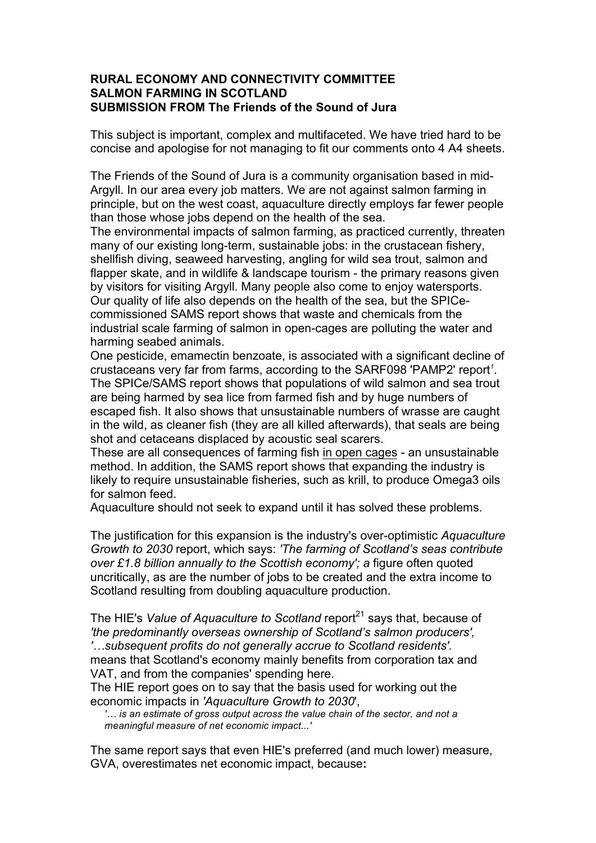## **RURAL ECONOMY AND CONNECTIVITY COMMITTEE SALMON FARMING IN SCOTLAND SUBMISSION FROM The Friends of the Sound of Jura**

This subject is important, complex and multifaceted. We have tried hard to be concise and apologise for not managing to fit our comments onto 4 A4 sheets.

The Friends of the Sound of Jura is a community organisation based in mid-Argyll. In our area every job matters. We are not against salmon farming in principle, but on the west coast, aquaculture directly employs far fewer people than those whose jobs depend on the health of the sea.

The environmental impacts of salmon farming, as practiced currently, threaten many of our existing long-term, sustainable jobs: in the crustacean fishery, shellfish diving, seaweed harvesting, angling for wild sea trout, salmon and flapper skate, and in wildlife & landscape tourism - the primary reasons given by visitors for visiting Argyll. Many people also come to enjoy watersports. Our quality of life also depends on the health of the sea, but the SPICecommissioned SAMS report shows that waste and chemicals from the industrial scale farming of salmon in open-cages are polluting the water and harming seabed animals.

One pesticide, emamectin benzoate, is associated with a significant decline of crustaceans very far from farms, according to the SARF098 'PAMP2' report*<sup>1</sup>* . The SPICe/SAMS report shows that populations of wild salmon and sea trout are being harmed by sea lice from farmed fish and by huge numbers of escaped fish. It also shows that unsustainable numbers of wrasse are caught in the wild, as cleaner fish (they are all killed afterwards), that seals are being shot and cetaceans displaced by acoustic seal scarers.

These are all consequences of farming fish in open cages - an unsustainable method. In addition, the SAMS report shows that expanding the industry is likely to require unsustainable fisheries, such as krill, to produce Omega3 oils for salmon feed.

Aquaculture should not seek to expand until it has solved these problems.

The justification for this expansion is the industry's over-optimistic *Aquaculture Growth to 2030* report, which says: *'The farming of Scotland's seas contribute over £1.8 billion annually to the Scottish economy'; a* figure often quoted uncritically, as are the number of jobs to be created and the extra income to Scotland resulting from doubling aquaculture production.

The HIE's Value of Aquaculture to Scotland report<sup>21</sup> savs that, because of *'the predominantly overseas ownership of Scotland's salmon producers', '…subsequent profits do not generally accrue to Scotland residents'.*  means that Scotland's economy mainly benefits from corporation tax and VAT, and from the companies' spending here.

The HIE report goes on to say that the basis used for working out the economic impacts in *'Aquaculture Growth to 2030*',

*'… is an estimate of gross output across the value chain of the sector, and not a meaningful measure of net economic impact...'*

The same report says that even HIE's preferred (and much lower) measure, GVA, overestimates net economic impact, because**:**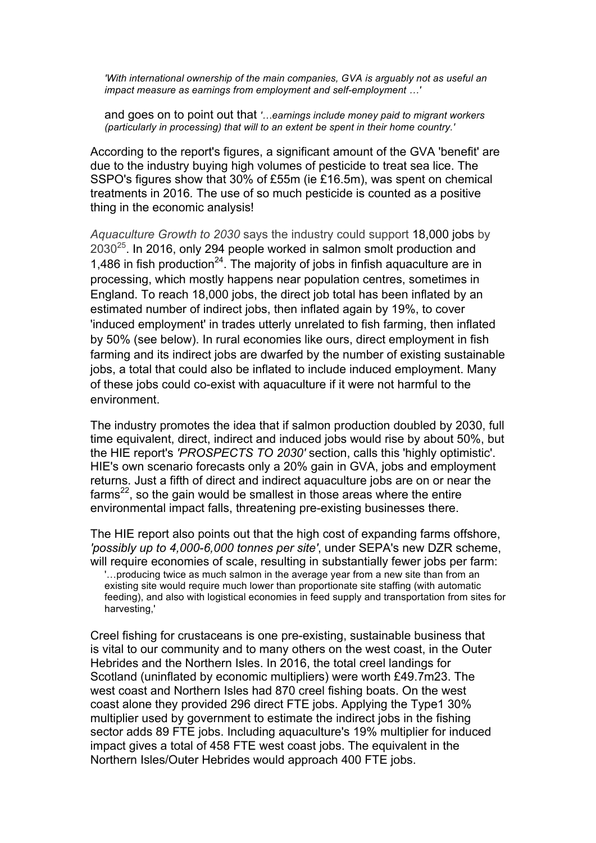*'With international ownership of the main companies, GVA is arguably not as useful an impact measure as earnings from employment and self-employment …'*

and goes on to point out that *'…earnings include money paid to migrant workers (particularly in processing) that will to an extent be spent in their home country.'*

According to the report's figures, a significant amount of the GVA 'benefit' are due to the industry buying high volumes of pesticide to treat sea lice. The SSPO's figures show that 30% of £55m (ie £16.5m), was spent on chemical treatments in 2016*.* The use of so much pesticide is counted as a positive thing in the economic analysis!

*Aquaculture Growth to 2030* says the industry could support 18,000 jobs by  $2030^{25}$ . In 2016, only 294 people worked in salmon smolt production and 1,486 in fish production<sup>24</sup>. The majority of jobs in finfish aquaculture are in processing, which mostly happens near population centres, sometimes in England. To reach 18,000 jobs, the direct job total has been inflated by an estimated number of indirect jobs, then inflated again by 19%, to cover 'induced employment' in trades utterly unrelated to fish farming, then inflated by 50% (see below). In rural economies like ours, direct employment in fish farming and its indirect jobs are dwarfed by the number of existing sustainable jobs, a total that could also be inflated to include induced employment. Many of these jobs could co-exist with aquaculture if it were not harmful to the environment.

The industry promotes the idea that if salmon production doubled by 2030, full time equivalent, direct, indirect and induced jobs would rise by about 50%, but the HIE report's *'PROSPECTS TO 2030'* section, calls this 'highly optimistic'. HIE's own scenario forecasts only a 20% gain in GVA, jobs and employment returns. Just a fifth of direct and indirect aquaculture jobs are on or near the  $farms<sup>22</sup>$ , so the gain would be smallest in those areas where the entire environmental impact falls, threatening pre-existing businesses there.

The HIE report also points out that the high cost of expanding farms offshore, *'possibly up to 4,000-6,000 tonnes per site'*, under SEPA's new DZR scheme, will require economies of scale, resulting in substantially fewer jobs per farm: '…producing twice as much salmon in the average year from a new site than from an existing site would require much lower than proportionate site staffing (with automatic feeding), and also with logistical economies in feed supply and transportation from sites for harvesting,'

Creel fishing for crustaceans is one pre-existing, sustainable business that is vital to our community and to many others on the west coast, in the Outer Hebrides and the Northern Isles. In 2016, the total creel landings for Scotland (uninflated by economic multipliers) were worth £49.7m23. The west coast and Northern Isles had 870 creel fishing boats. On the west coast alone they provided 296 direct FTE jobs. Applying the Type1 30% multiplier used by government to estimate the indirect jobs in the fishing sector adds 89 FTE jobs. Including aquaculture's 19% multiplier for induced impact gives a total of 458 FTE west coast jobs. The equivalent in the Northern Isles/Outer Hebrides would approach 400 FTE jobs.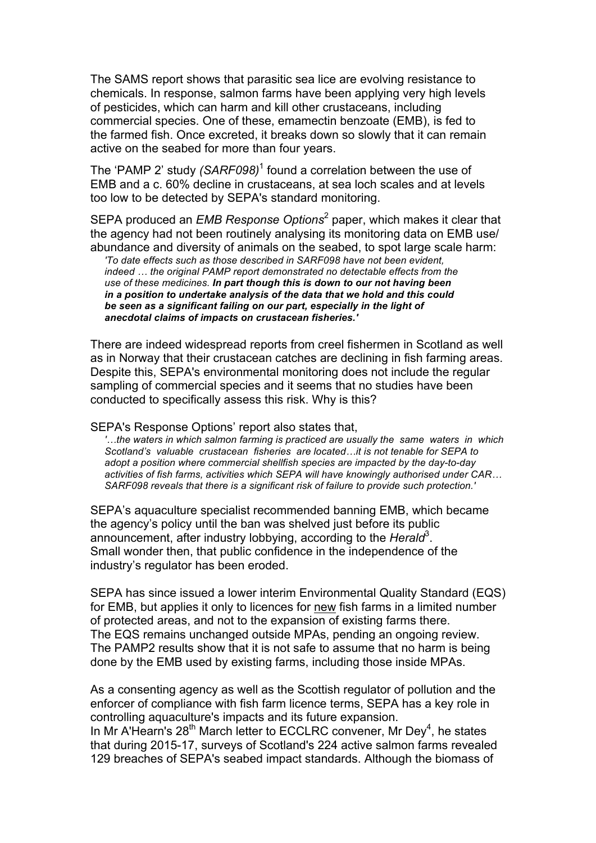The SAMS report shows that parasitic sea lice are evolving resistance to chemicals. In response, salmon farms have been applying very high levels of pesticides, which can harm and kill other crustaceans, including commercial species. One of these, emamectin benzoate (EMB), is fed to the farmed fish. Once excreted, it breaks down so slowly that it can remain active on the seabed for more than four years.

The 'PAMP 2' study *(SARF098)*<sup>1</sup> found a correlation between the use of EMB and a c. 60% decline in crustaceans, at sea loch scales and at levels too low to be detected by SEPA's standard monitoring.

SEPA produced an *EMB Response Options*<sup>2</sup> paper, which makes it clear that the agency had not been routinely analysing its monitoring data on EMB use/ abundance and diversity of animals on the seabed, to spot large scale harm:

*'To date effects such as those described in SARF098 have not been evident, indeed … the original PAMP report demonstrated no detectable effects from the use of these medicines. In part though this is down to our not having been in a position to undertake analysis of the data that we hold and this could be seen as a significant failing on our part, especially in the light of anecdotal claims of impacts on crustacean fisheries.'*

There are indeed widespread reports from creel fishermen in Scotland as well as in Norway that their crustacean catches are declining in fish farming areas. Despite this, SEPA's environmental monitoring does not include the regular sampling of commercial species and it seems that no studies have been conducted to specifically assess this risk. Why is this?

SEPA's Response Options' report also states that,

*'…the waters in which salmon farming is practiced are usually the same waters in which Scotland's valuable crustacean fisheries are located…it is not tenable for SEPA to adopt a position where commercial shellfish species are impacted by the day-to-day activities of fish farms, activities which SEPA will have knowingly authorised under CAR… SARF098 reveals that there is a significant risk of failure to provide such protection.'* 

SEPA's aquaculture specialist recommended banning EMB, which became the agency's policy until the ban was shelved just before its public announcement, after industry lobbying, according to the *Herald*<sup>3</sup>. Small wonder then, that public confidence in the independence of the industry's regulator has been eroded.

SEPA has since issued a lower interim Environmental Quality Standard (EQS) for EMB, but applies it only to licences for new fish farms in a limited number of protected areas, and not to the expansion of existing farms there. The EQS remains unchanged outside MPAs, pending an ongoing review. The PAMP2 results show that it is not safe to assume that no harm is being done by the EMB used by existing farms, including those inside MPAs.

As a consenting agency as well as the Scottish regulator of pollution and the enforcer of compliance with fish farm licence terms, SEPA has a key role in controlling aquaculture's impacts and its future expansion. In Mr A'Hearn's  $28<sup>th</sup>$  March letter to ECCLRC convener, Mr Dey<sup>4</sup>, he states that during 2015-17, surveys of Scotland's 224 active salmon farms revealed 129 breaches of SEPA's seabed impact standards. Although the biomass of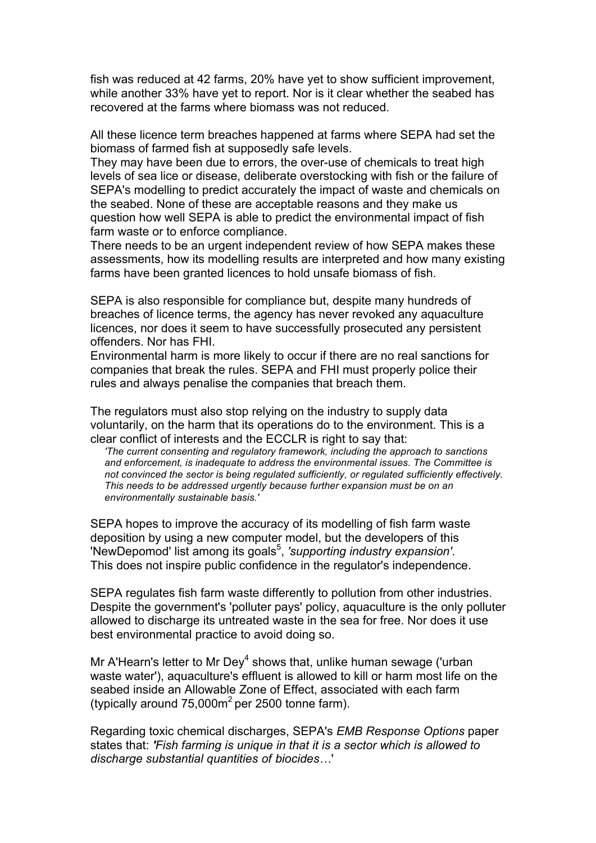fish was reduced at 42 farms, 20% have yet to show sufficient improvement, while another 33% have yet to report. Nor is it clear whether the seabed has recovered at the farms where biomass was not reduced.

All these licence term breaches happened at farms where SEPA had set the biomass of farmed fish at supposedly safe levels.

They may have been due to errors, the over-use of chemicals to treat high levels of sea lice or disease, deliberate overstocking with fish or the failure of SEPA's modelling to predict accurately the impact of waste and chemicals on the seabed. None of these are acceptable reasons and they make us question how well SEPA is able to predict the environmental impact of fish farm waste or to enforce compliance.

There needs to be an urgent independent review of how SEPA makes these assessments, how its modelling results are interpreted and how many existing farms have been granted licences to hold unsafe biomass of fish.

SEPA is also responsible for compliance but, despite many hundreds of breaches of licence terms, the agency has never revoked any aquaculture licences, nor does it seem to have successfully prosecuted any persistent offenders. Nor has FHI.

Environmental harm is more likely to occur if there are no real sanctions for companies that break the rules. SEPA and FHI must properly police their rules and always penalise the companies that breach them.

The regulators must also stop relying on the industry to supply data voluntarily, on the harm that its operations do to the environment. This is a clear conflict of interests and the ECCLR is right to say that:

*'The current consenting and regulatory framework, including the approach to sanctions and enforcement, is inadequate to address the environmental issues. The Committee is not convinced the sector is being regulated sufficiently, or regulated sufficiently effectively. This needs to be addressed urgently because further expansion must be on an environmentally sustainable basis.'*

SEPA hopes to improve the accuracy of its modelling of fish farm waste deposition by using a new computer model, but the developers of this NewDepomod' list among its goals<sup>5</sup>, 'supporting industry expansion'. This does not inspire public confidence in the regulator's independence.

SEPA regulates fish farm waste differently to pollution from other industries. Despite the government's 'polluter pays' policy, aquaculture is the only polluter allowed to discharge its untreated waste in the sea for free. Nor does it use best environmental practice to avoid doing so.

Mr A'Hearn's letter to Mr Dey<sup>4</sup> shows that, unlike human sewage ('urban waste water'), aquaculture's effluent is allowed to kill or harm most life on the seabed inside an Allowable Zone of Effect, associated with each farm (typically around  $75,000m^2$  per 2500 tonne farm).

Regarding toxic chemical discharges, SEPA's *EMB Response Options* paper states that: *'Fish farming is unique in that it is a sector which is allowed to discharge substantial quantities of biocides…*'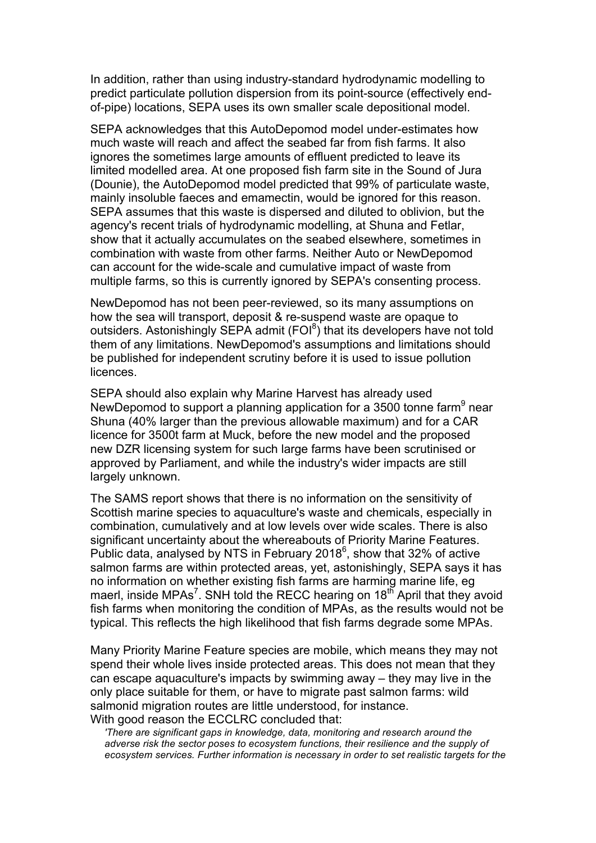In addition, rather than using industry-standard hydrodynamic modelling to predict particulate pollution dispersion from its point-source (effectively endof-pipe) locations, SEPA uses its own smaller scale depositional model.

SEPA acknowledges that this AutoDepomod model under-estimates how much waste will reach and affect the seabed far from fish farms. It also ignores the sometimes large amounts of effluent predicted to leave its limited modelled area. At one proposed fish farm site in the Sound of Jura (Dounie), the AutoDepomod model predicted that 99% of particulate waste, mainly insoluble faeces and emamectin, would be ignored for this reason. SEPA assumes that this waste is dispersed and diluted to oblivion, but the agency's recent trials of hydrodynamic modelling, at Shuna and Fetlar, show that it actually accumulates on the seabed elsewhere, sometimes in combination with waste from other farms. Neither Auto or NewDepomod can account for the wide-scale and cumulative impact of waste from multiple farms, so this is currently ignored by SEPA's consenting process.

NewDepomod has not been peer-reviewed, so its many assumptions on how the sea will transport, deposit & re-suspend waste are opaque to outsiders. Astonishingly SEPA admit  $(FOI<sup>8</sup>)$  that its developers have not told them of any limitations. NewDepomod's assumptions and limitations should be published for independent scrutiny before it is used to issue pollution licences.

SEPA should also explain why Marine Harvest has already used NewDepomod to support a planning application for a 3500 tonne farm<sup>9</sup> near Shuna (40% larger than the previous allowable maximum) and for a CAR licence for 3500t farm at Muck, before the new model and the proposed new DZR licensing system for such large farms have been scrutinised or approved by Parliament, and while the industry's wider impacts are still largely unknown.

The SAMS report shows that there is no information on the sensitivity of Scottish marine species to aquaculture's waste and chemicals, especially in combination, cumulatively and at low levels over wide scales. There is also significant uncertainty about the whereabouts of Priority Marine Features. Public data, analysed by NTS in February 2018<sup>6</sup>, show that 32% of active salmon farms are within protected areas, yet, astonishingly, SEPA says it has no information on whether existing fish farms are harming marine life, eg maerl, inside MPAs<sup>7</sup>. SNH told the RECC hearing on 18<sup>th</sup> April that they avoid fish farms when monitoring the condition of MPAs, as the results would not be typical. This reflects the high likelihood that fish farms degrade some MPAs.

Many Priority Marine Feature species are mobile, which means they may not spend their whole lives inside protected areas. This does not mean that they can escape aquaculture's impacts by swimming away – they may live in the only place suitable for them, or have to migrate past salmon farms: wild salmonid migration routes are little understood, for instance. With good reason the ECCLRC concluded that:

*'There are significant gaps in knowledge, data, monitoring and research around the adverse risk the sector poses to ecosystem functions, their resilience and the supply of ecosystem services. Further information is necessary in order to set realistic targets for the*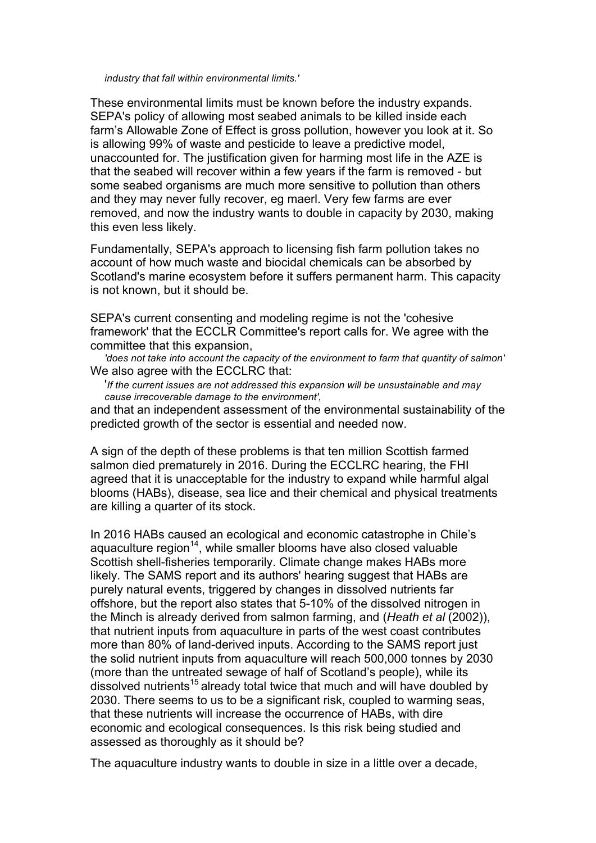*industry that fall within environmental limits.'* 

These environmental limits must be known before the industry expands. SEPA's policy of allowing most seabed animals to be killed inside each farm's Allowable Zone of Effect is gross pollution, however you look at it. So is allowing 99% of waste and pesticide to leave a predictive model, unaccounted for. The justification given for harming most life in the AZE is that the seabed will recover within a few years if the farm is removed - but some seabed organisms are much more sensitive to pollution than others and they may never fully recover, eg maerl. Very few farms are ever removed, and now the industry wants to double in capacity by 2030, making this even less likely.

Fundamentally, SEPA's approach to licensing fish farm pollution takes no account of how much waste and biocidal chemicals can be absorbed by Scotland's marine ecosystem before it suffers permanent harm. This capacity is not known, but it should be.

SEPA's current consenting and modeling regime is not the 'cohesive framework' that the ECCLR Committee's report calls for. We agree with the committee that this expansion,

*'does not take into account the capacity of the environment to farm that quantity of salmon'* We also agree with the ECCLRC that:

'*If the current issues are not addressed this expansion will be unsustainable and may cause irrecoverable damage to the environment',* 

and that an independent assessment of the environmental sustainability of the predicted growth of the sector is essential and needed now.

A sign of the depth of these problems is that ten million Scottish farmed salmon died prematurely in 2016. During the ECCLRC hearing, the FHI agreed that it is unacceptable for the industry to expand while harmful algal blooms (HABs), disease, sea lice and their chemical and physical treatments are killing a quarter of its stock.

In 2016 HABs caused an ecological and economic catastrophe in Chile's aquaculture region $14$ , while smaller blooms have also closed valuable Scottish shell-fisheries temporarily. Climate change makes HABs more likely. The SAMS report and its authors' hearing suggest that HABs are purely natural events, triggered by changes in dissolved nutrients far offshore, but the report also states that 5-10% of the dissolved nitrogen in the Minch is already derived from salmon farming, and (*Heath et al* (2002)), that nutrient inputs from aquaculture in parts of the west coast contributes more than 80% of land-derived inputs. According to the SAMS report just the solid nutrient inputs from aquaculture will reach 500,000 tonnes by 2030 (more than the untreated sewage of half of Scotland's people), while its  $\alpha$  dissolved nutrients<sup>15</sup> already total twice that much and will have doubled by 2030. There seems to us to be a significant risk, coupled to warming seas, that these nutrients will increase the occurrence of HABs, with dire economic and ecological consequences. Is this risk being studied and assessed as thoroughly as it should be?

The aquaculture industry wants to double in size in a little over a decade,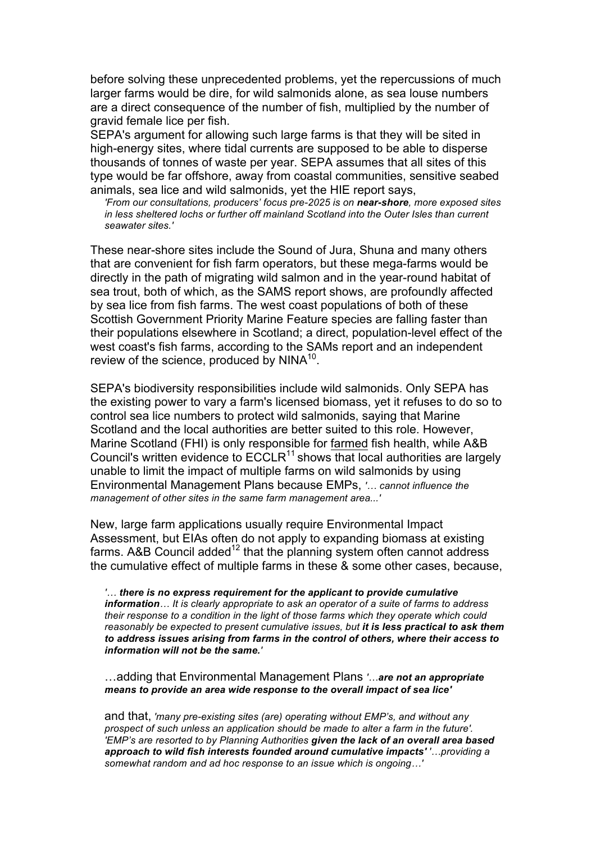before solving these unprecedented problems, yet the repercussions of much larger farms would be dire, for wild salmonids alone, as sea louse numbers are a direct consequence of the number of fish, multiplied by the number of gravid female lice per fish.

SEPA's argument for allowing such large farms is that they will be sited in high-energy sites, where tidal currents are supposed to be able to disperse thousands of tonnes of waste per year. SEPA assumes that all sites of this type would be far offshore, away from coastal communities, sensitive seabed animals, sea lice and wild salmonids, yet the HIE report says,

*'From our consultations, producers' focus pre-2025 is on near-shore, more exposed sites in less sheltered lochs or further off mainland Scotland into the Outer Isles than current seawater sites.'*

These near-shore sites include the Sound of Jura, Shuna and many others that are convenient for fish farm operators, but these mega-farms would be directly in the path of migrating wild salmon and in the year-round habitat of sea trout, both of which, as the SAMS report shows, are profoundly affected by sea lice from fish farms. The west coast populations of both of these Scottish Government Priority Marine Feature species are falling faster than their populations elsewhere in Scotland; a direct, population-level effect of the west coast's fish farms, according to the SAMs report and an independent review of the science, produced by NINA<sup>10</sup>.

SEPA's biodiversity responsibilities include wild salmonids. Only SEPA has the existing power to vary a farm's licensed biomass, yet it refuses to do so to control sea lice numbers to protect wild salmonids, saying that Marine Scotland and the local authorities are better suited to this role. However, Marine Scotland (FHI) is only responsible for farmed fish health, while A&B Council's written evidence to  $ECCLR^{11}$  shows that local authorities are largely unable to limit the impact of multiple farms on wild salmonids by using Environmental Management Plans because EMPs, *'… cannot influence the management of other sites in the same farm management area...'*

New, large farm applications usually require Environmental Impact Assessment, but EIAs often do not apply to expanding biomass at existing farms. A&B Council added<sup>12</sup> that the planning system often cannot address the cumulative effect of multiple farms in these & some other cases, because,

*'… there is no express requirement for the applicant to provide cumulative information… It is clearly appropriate to ask an operator of a suite of farms to address their response to a condition in the light of those farms which they operate which could reasonably be expected to present cumulative issues, but it is less practical to ask them to address issues arising from farms in the control of others, where their access to information will not be the same.'*

…adding that Environmental Management Plans *'…are not an appropriate means to provide an area wide response to the overall impact of sea lice'*

and that, *'many pre-existing sites (are) operating without EMP's, and without any prospect of such unless an application should be made to alter a farm in the future'. 'EMP's are resorted to by Planning Authorities given the lack of an overall area based approach to wild fish interests founded around cumulative impacts' '…providing a somewhat random and ad hoc response to an issue which is ongoing…'*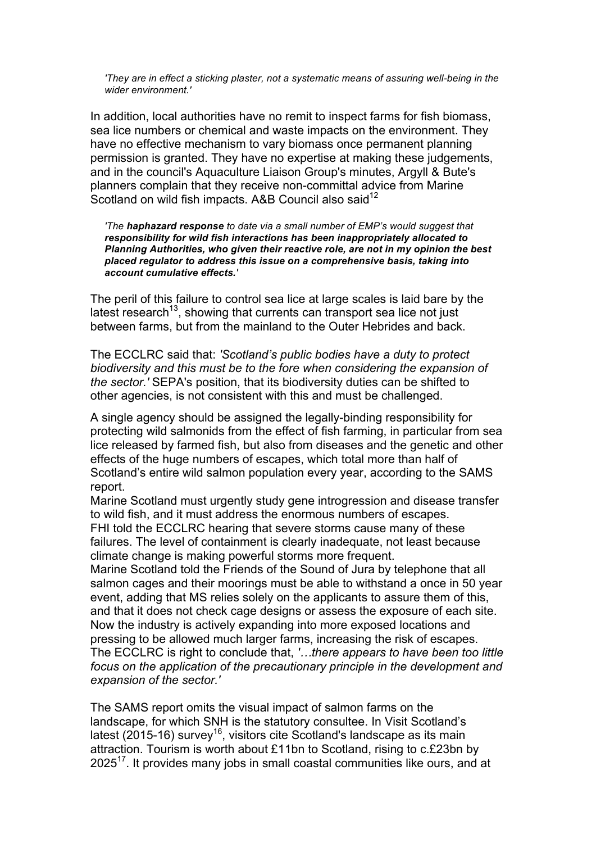*'They are in effect a sticking plaster, not a systematic means of assuring well-being in the wider environment.'*

In addition, local authorities have no remit to inspect farms for fish biomass, sea lice numbers or chemical and waste impacts on the environment. They have no effective mechanism to vary biomass once permanent planning permission is granted. They have no expertise at making these judgements, and in the council's Aquaculture Liaison Group's minutes, Argyll & Bute's planners complain that they receive non-committal advice from Marine Scotland on wild fish impacts. A&B Council also said<sup>12</sup>

*'The haphazard response to date via a small number of EMP's would suggest that responsibility for wild fish interactions has been inappropriately allocated to Planning Authorities, who given their reactive role, are not in my opinion the best placed regulator to address this issue on a comprehensive basis, taking into account cumulative effects.'*

The peril of this failure to control sea lice at large scales is laid bare by the latest research<sup>13</sup>, showing that currents can transport sea lice not just between farms, but from the mainland to the Outer Hebrides and back.

The ECCLRC said that: *'Scotland's public bodies have a duty to protect biodiversity and this must be to the fore when considering the expansion of the sector.'* SEPA's position, that its biodiversity duties can be shifted to other agencies, is not consistent with this and must be challenged.

A single agency should be assigned the legally-binding responsibility for protecting wild salmonids from the effect of fish farming, in particular from sea lice released by farmed fish, but also from diseases and the genetic and other effects of the huge numbers of escapes, which total more than half of Scotland's entire wild salmon population every year, according to the SAMS report.

Marine Scotland must urgently study gene introgression and disease transfer to wild fish, and it must address the enormous numbers of escapes. FHI told the ECCLRC hearing that severe storms cause many of these failures. The level of containment is clearly inadequate, not least because climate change is making powerful storms more frequent.

Marine Scotland told the Friends of the Sound of Jura by telephone that all salmon cages and their moorings must be able to withstand a once in 50 year event, adding that MS relies solely on the applicants to assure them of this, and that it does not check cage designs or assess the exposure of each site. Now the industry is actively expanding into more exposed locations and pressing to be allowed much larger farms, increasing the risk of escapes. The ECCLRC is right to conclude that, *'…there appears to have been too little focus on the application of the precautionary principle in the development and expansion of the sector.'*

The SAMS report omits the visual impact of salmon farms on the landscape, for which SNH is the statutory consultee. In Visit Scotland's latest (2015-16) survey<sup>16</sup>, visitors cite Scotland's landscape as its main attraction. Tourism is worth about £11bn to Scotland, rising to c.£23bn by 2025<sup>17</sup>. It provides many jobs in small coastal communities like ours, and at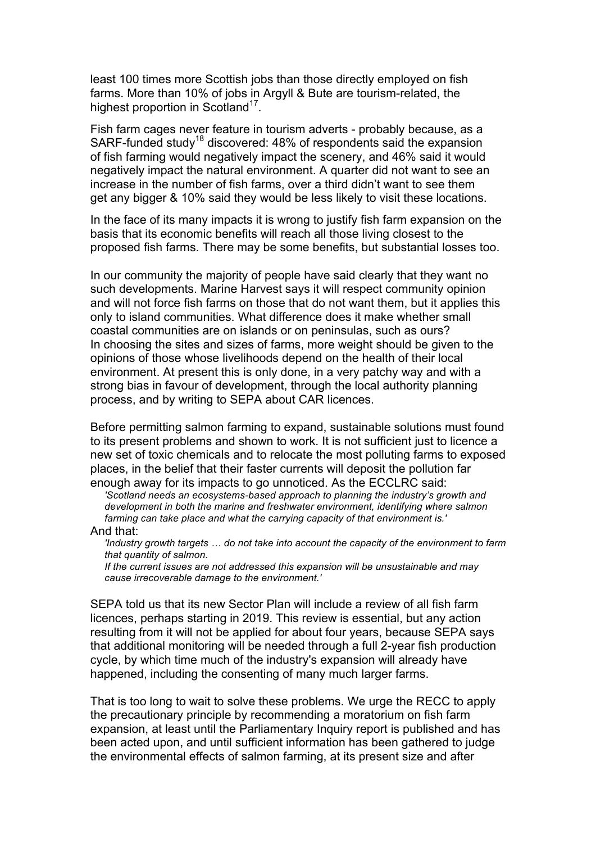least 100 times more Scottish jobs than those directly employed on fish farms. More than 10% of jobs in Argyll & Bute are tourism-related, the highest proportion in Scotland<sup>17</sup>.

Fish farm cages never feature in tourism adverts - probably because, as a SARF-funded study<sup>18</sup> discovered: 48% of respondents said the expansion of fish farming would negatively impact the scenery, and 46% said it would negatively impact the natural environment. A quarter did not want to see an increase in the number of fish farms, over a third didn't want to see them get any bigger & 10% said they would be less likely to visit these locations.

In the face of its many impacts it is wrong to justify fish farm expansion on the basis that its economic benefits will reach all those living closest to the proposed fish farms. There may be some benefits, but substantial losses too.

In our community the majority of people have said clearly that they want no such developments. Marine Harvest says it will respect community opinion and will not force fish farms on those that do not want them, but it applies this only to island communities. What difference does it make whether small coastal communities are on islands or on peninsulas, such as ours? In choosing the sites and sizes of farms, more weight should be given to the opinions of those whose livelihoods depend on the health of their local environment. At present this is only done, in a very patchy way and with a strong bias in favour of development, through the local authority planning process, and by writing to SEPA about CAR licences.

Before permitting salmon farming to expand, sustainable solutions must found to its present problems and shown to work. It is not sufficient just to licence a new set of toxic chemicals and to relocate the most polluting farms to exposed places, in the belief that their faster currents will deposit the pollution far enough away for its impacts to go unnoticed. As the ECCLRC said:

*'Scotland needs an ecosystems-based approach to planning the industry's growth and development in both the marine and freshwater environment, identifying where salmon farming can take place and what the carrying capacity of that environment is.'*

## And that:

*'Industry growth targets … do not take into account the capacity of the environment to farm that quantity of salmon.* 

*If the current issues are not addressed this expansion will be unsustainable and may cause irrecoverable damage to the environment.'* 

SEPA told us that its new Sector Plan will include a review of all fish farm licences, perhaps starting in 2019. This review is essential, but any action resulting from it will not be applied for about four years, because SEPA says that additional monitoring will be needed through a full 2-year fish production cycle, by which time much of the industry's expansion will already have happened, including the consenting of many much larger farms.

That is too long to wait to solve these problems. We urge the RECC to apply the precautionary principle by recommending a moratorium on fish farm expansion, at least until the Parliamentary Inquiry report is published and has been acted upon, and until sufficient information has been gathered to judge the environmental effects of salmon farming, at its present size and after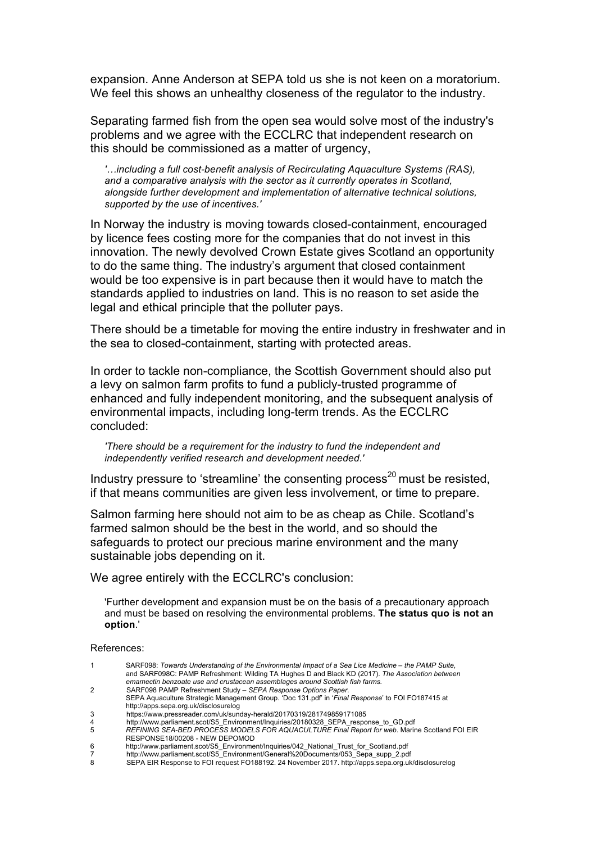expansion. Anne Anderson at SEPA told us she is not keen on a moratorium. We feel this shows an unhealthy closeness of the regulator to the industry.

Separating farmed fish from the open sea would solve most of the industry's problems and we agree with the ECCLRC that independent research on this should be commissioned as a matter of urgency,

*'…including a full cost-benefit analysis of Recirculating Aquaculture Systems (RAS), and a comparative analysis with the sector as it currently operates in Scotland, alongside further development and implementation of alternative technical solutions, supported by the use of incentives.'*

In Norway the industry is moving towards closed-containment, encouraged by licence fees costing more for the companies that do not invest in this innovation. The newly devolved Crown Estate gives Scotland an opportunity to do the same thing. The industry's argument that closed containment would be too expensive is in part because then it would have to match the standards applied to industries on land. This is no reason to set aside the legal and ethical principle that the polluter pays.

There should be a timetable for moving the entire industry in freshwater and in the sea to closed-containment, starting with protected areas.

In order to tackle non-compliance, the Scottish Government should also put a levy on salmon farm profits to fund a publicly-trusted programme of enhanced and fully independent monitoring, and the subsequent analysis of environmental impacts, including long-term trends. As the ECCLRC concluded:

*'There should be a requirement for the industry to fund the independent and independently verified research and development needed.'*

Industry pressure to 'streamline' the consenting process<sup>20</sup> must be resisted, if that means communities are given less involvement, or time to prepare.

Salmon farming here should not aim to be as cheap as Chile. Scotland's farmed salmon should be the best in the world, and so should the safeguards to protect our precious marine environment and the many sustainable jobs depending on it.

We agree entirely with the ECCLRC's conclusion:

'Further development and expansion must be on the basis of a precautionary approach and must be based on resolving the environmental problems. **The status quo is not an option**.'

References:

|   | SARF098: Towards Understanding of the Environmental Impact of a Sea Lice Medicine – the PAMP Suite, |
|---|-----------------------------------------------------------------------------------------------------|
|   | and SARF098C: PAMP Refreshment: Wilding TA Hughes D and Black KD (2017). The Association between    |
|   | emamectin benzoate use and crustacean assemblages around Scottish fish farms.                       |
|   | SARF098 PAMP Refreshment Study - SEPA Response Options Paper.                                       |
|   | SEPA Aguaculture Strategic Management Group. 'Doc 131.pdf' in 'Final Response' to FOI FO187415 at   |
|   | http://apps.sepa.org.uk/disclosurelog                                                               |
| 3 | https://www.pressreader.com/uk/sunday-herald/20170319/281749859171085                               |
| 4 | http://www.parliament.scot/S5 Environment/Inquiries/20180328 SEPA response to GD.pdf                |
| 5 | REFINING SEA-BED PROCESS MODELS FOR AQUACULTURE Final Report for web. Marine Scotland FOI EIR       |
|   | RESPONSE18/00208 - NEW DEPOMOD                                                                      |
| 6 | http://www.parliament.scot/S5 Environment/Inquiries/042 National Trust for Scotland.pdf             |
|   | http://www.parliament.scot/S5 Environment/General%20Documents/053 Sepa supp 2.pdf                   |

8 SEPA EIR Response to FOI request FO188192. 24 November 2017. http://apps.sepa.org.uk/disclosurelog